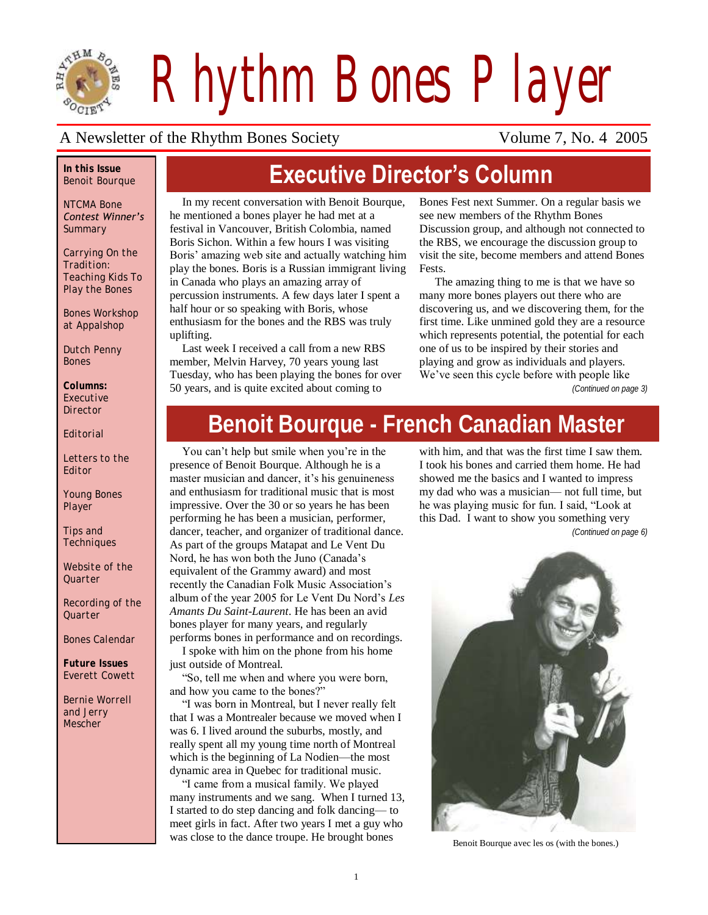

*Rhythm Bones Player*

#### A Newsletter of the Rhythm Bones Society Volume 7, No. 4 2005

#### *In this Issue Benoit Bourque*

*NTCMA Bone Contest Winner's Summary*

*Carrying On the Tradition: Teaching Kids To Play the Bones*

*Bones Workshop at Appalshop* 

*Dutch Penny Bones*

*Columns: Executive Director*

*Editorial*

*Letters to the Editor*

*Young Bones Player*

*Tips and Techniques*

*Website of the Quarter*

*Recording of the Quarter*

*Bones Calendar*

*Future Issues Everett Cowett*

*Bernie Worrell and Jerry Mescher*

# **Executive Director's Column**

In my recent conversation with Benoit Bourque, he mentioned a bones player he had met at a festival in Vancouver, British Colombia, named Boris Sichon. Within a few hours I was visiting Boris" amazing web site and actually watching him play the bones. Boris is a Russian immigrant living in Canada who plays an amazing array of percussion instruments. A few days later I spent a half hour or so speaking with Boris, whose enthusiasm for the bones and the RBS was truly uplifting.

Last week I received a call from a new RBS member, Melvin Harvey, 70 years young last Tuesday, who has been playing the bones for over 50 years, and is quite excited about coming to

Bones Fest next Summer. On a regular basis we see new members of the Rhythm Bones Discussion group, and although not connected to the RBS, we encourage the discussion group to visit the site, become members and attend Bones Fests.

The amazing thing to me is that we have so many more bones players out there who are discovering us, and we discovering them, for the first time. Like unmined gold they are a resource which represents potential, the potential for each one of us to be inspired by their stories and playing and grow as individuals and players. We've seen this cycle before with people like

*(Continued on page 3)*

# **Benoit Bourque - French Canadian Master**

You can"t help but smile when you"re in the presence of Benoit Bourque. Although he is a master musician and dancer, it's his genuineness and enthusiasm for traditional music that is most impressive. Over the 30 or so years he has been performing he has been a musician, performer, dancer, teacher, and organizer of traditional dance. As part of the groups Matapat and Le Vent Du Nord, he has won both the Juno (Canada"s equivalent of the Grammy award) and most recently the Canadian Folk Music Association"s album of the year 2005 for Le Vent Du Nord"s *Les Amants Du Saint-Laurent*. He has been an avid bones player for many years, and regularly performs bones in performance and on recordings. I spoke with him on the phone from his home

just outside of Montreal.

"So, tell me when and where you were born, and how you came to the bones?"

"I was born in Montreal, but I never really felt that I was a Montrealer because we moved when I was 6. I lived around the suburbs, mostly, and really spent all my young time north of Montreal which is the beginning of La Nodien—the most dynamic area in Quebec for traditional music.

"I came from a musical family. We played many instruments and we sang. When I turned 13, I started to do step dancing and folk dancing— to meet girls in fact. After two years I met a guy who was close to the dance troupe. He brought bones Benoit Bourque avec les os (with the bones.)

with him, and that was the first time I saw them. I took his bones and carried them home. He had showed me the basics and I wanted to impress my dad who was a musician— not full time, but he was playing music for fun. I said, "Look at this Dad. I want to show you something very

*(Continued on page 6)*

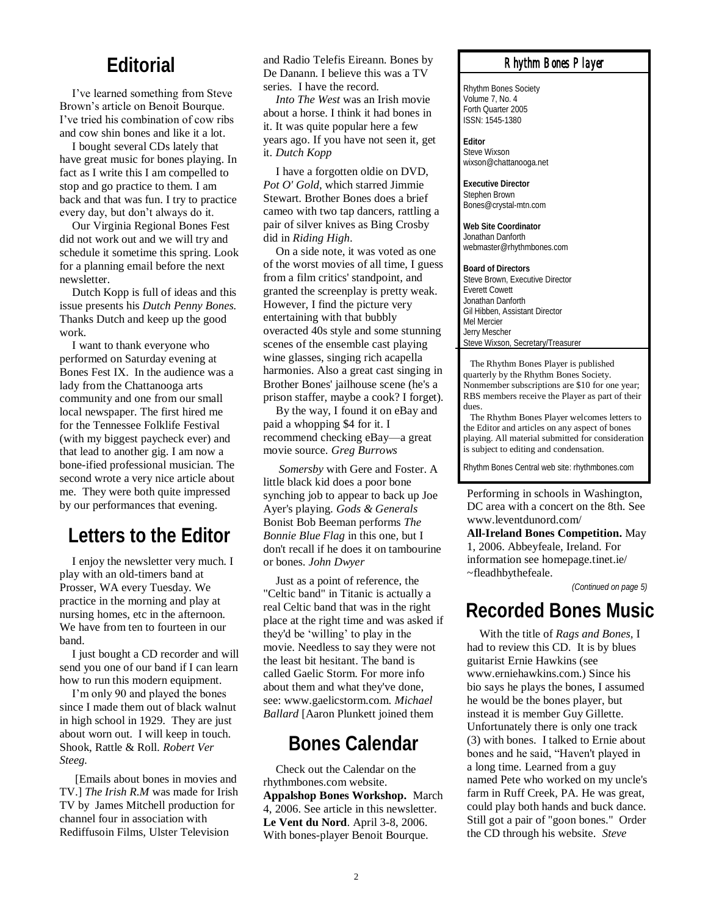#### **Editorial**

I"ve learned something from Steve Brown's article on Benoit Bourque. I"ve tried his combination of cow ribs and cow shin bones and like it a lot.

I bought several CDs lately that have great music for bones playing. In fact as I write this I am compelled to stop and go practice to them. I am back and that was fun. I try to practice every day, but don"t always do it.

Our Virginia Regional Bones Fest did not work out and we will try and schedule it sometime this spring. Look for a planning email before the next newsletter.

Dutch Kopp is full of ideas and this issue presents his *Dutch Penny Bones.*  Thanks Dutch and keep up the good work.

I want to thank everyone who performed on Saturday evening at Bones Fest IX. In the audience was a lady from the Chattanooga arts community and one from our small local newspaper. The first hired me for the Tennessee Folklife Festival (with my biggest paycheck ever) and that lead to another gig. I am now a bone-ified professional musician. The second wrote a very nice article about me. They were both quite impressed by our performances that evening.

## **Letters to the Editor**

I enjoy the newsletter very much. I play with an old-timers band at Prosser, WA every Tuesday. We practice in the morning and play at nursing homes, etc in the afternoon. We have from ten to fourteen in our band.

I just bought a CD recorder and will send you one of our band if I can learn how to run this modern equipment.

I"m only 90 and played the bones since I made them out of black walnut in high school in 1929. They are just about worn out. I will keep in touch. Shook, Rattle & Roll. *Robert Ver Steeg.*

[Emails about bones in movies and TV.] *The Irish R.M* was made for Irish TV by James Mitchell production for channel four in association with Rediffusoin Films, Ulster Television

and Radio Telefis Eireann. Bones by De Danann. I believe this was a TV series. I have the record.

*Into The West* was an Irish movie about a horse. I think it had bones in it. It was quite popular here a few years ago. If you have not seen it, get it. *Dutch Kopp*

I have a forgotten oldie on DVD, *Pot O' Gold*, which starred Jimmie Stewart. Brother Bones does a brief cameo with two tap dancers, rattling a pair of silver knives as Bing Crosby did in *Riding High*.

On a side note, it was voted as one of the worst movies of all time, I guess from a film critics' standpoint, and granted the screenplay is pretty weak. However, I find the picture very entertaining with that bubbly overacted 40s style and some stunning scenes of the ensemble cast playing wine glasses, singing rich acapella harmonies. Also a great cast singing in Brother Bones' jailhouse scene (he's a prison staffer, maybe a cook? I forget).

By the way, I found it on eBay and paid a whopping \$4 for it. I recommend checking eBay—a great movie source. *Greg Burrows*

*Somersby* with Gere and Foster. A little black kid does a poor bone synching job to appear to back up Joe Ayer's playing. *Gods & Generals* Bonist Bob Beeman performs *The Bonnie Blue Flag* in this one*,* but I don't recall if he does it on tambourine or bones. *John Dwyer*

Just as a point of reference, the "Celtic band" in Titanic is actually a real Celtic band that was in the right place at the right time and was asked if they'd be "willing" to play in the movie. Needless to say they were not the least bit hesitant. The band is called Gaelic Storm. For more info about them and what they've done, see: www.gaelicstorm.com. *Michael Ballard* [Aaron Plunkett joined them

#### **Bones Calendar**

Check out the Calendar on the rhythmbones.com website. **Appalshop Bones Workshop.** March 4, 2006. See article in this newsletter. **Le Vent du Nord**. April 3-8, 2006. With bones-player Benoit Bourque.

#### *Rhythm Bones Player*

Rhythm Bones Society Volume 7, No. 4 Forth Quarter 2005 ISSN: 1545-1380

**Editor** Steve Wixson wixson@chattanooga.net

**Executive Director** Stephen Brown Bones@crystal-mtn.com

**Web Site Coordinator** Jonathan Danforth webmaster@rhythmbones.com

**Board of Directors** Steve Brown, Executive Director Everett Cowett Jonathan Danforth Gil Hibben, Assistant Director Mel Mercier Jerry Mescher Steve Wixson, Secretary/Treasurer

 The Rhythm Bones Player is published quarterly by the Rhythm Bones Society. Nonmember subscriptions are \$10 for one year; RBS members receive the Player as part of their dues.

 The Rhythm Bones Player welcomes letters to the Editor and articles on any aspect of bones playing. All material submitted for consideration is subject to editing and condensation.

Rhythm Bones Central web site: rhythmbones.com

Performing in schools in Washington, DC area with a concert on the 8th. See www.leventdunord.com/

**All-Ireland Bones Competition.** May 1, 2006. Abbeyfeale, Ireland. For information see homepage.tinet.ie/ ~fleadhbythefeale.

*(Continued on page 5)*

#### **Recorded Bones Music**

With the title of *Rags and Bones,* I had to review this CD. It is by blues guitarist Ernie Hawkins (see www.erniehawkins.com.) Since his bio says he plays the bones, I assumed he would be the bones player, but instead it is member Guy Gillette. Unfortunately there is only one track (3) with bones. I talked to Ernie about bones and he said, "Haven't played in a long time. Learned from a guy named Pete who worked on my uncle's farm in Ruff Creek, PA. He was great, could play both hands and buck dance. Still got a pair of "goon bones." Order the CD through his website. *Steve*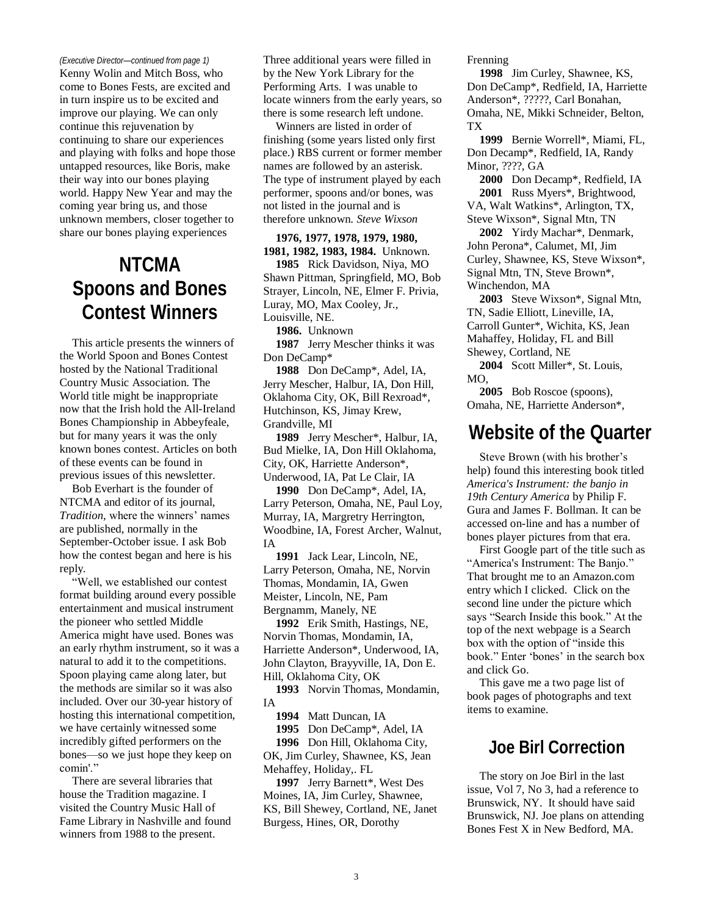*(Executive Director—continued from page 1)*

Kenny Wolin and Mitch Boss, who come to Bones Fests, are excited and in turn inspire us to be excited and improve our playing. We can only continue this rejuvenation by continuing to share our experiences and playing with folks and hope those untapped resources, like Boris, make their way into our bones playing world. Happy New Year and may the coming year bring us, and those unknown members, closer together to share our bones playing experiences

# **NTCMA Spoons and Bones Contest Winners**

This article presents the winners of the World Spoon and Bones Contest hosted by the National Traditional Country Music Association. The World title might be inappropriate now that the Irish hold the All-Ireland Bones Championship in Abbeyfeale, but for many years it was the only known bones contest. Articles on both of these events can be found in previous issues of this newsletter.

Bob Everhart is the founder of NTCMA and editor of its journal, *Tradition*, where the winners' names are published, normally in the September-October issue. I ask Bob how the contest began and here is his reply.

"Well, we established our contest format building around every possible entertainment and musical instrument the pioneer who settled Middle America might have used. Bones was an early rhythm instrument, so it was a natural to add it to the competitions. Spoon playing came along later, but the methods are similar so it was also included. Over our 30-year history of hosting this international competition, we have certainly witnessed some incredibly gifted performers on the bones—so we just hope they keep on comin'."

There are several libraries that house the Tradition magazine. I visited the Country Music Hall of Fame Library in Nashville and found winners from 1988 to the present.

Three additional years were filled in by the New York Library for the Performing Arts. I was unable to locate winners from the early years, so there is some research left undone.

Winners are listed in order of finishing (some years listed only first place.) RBS current or former member names are followed by an asterisk. The type of instrument played by each performer, spoons and/or bones, was not listed in the journal and is therefore unknown. *Steve Wixson*

#### **1976, 1977, 1978, 1979, 1980, 1981, 1982, 1983, 1984.** Unknown. **1985** Rick Davidson, Niya, MO Shawn Pittman, Springfield, MO, Bob Strayer, Lincoln, NE, Elmer F. Privia, Luray, MO, Max Cooley, Jr.,

Louisville, NE.

**1986.** Unknown

**1987** Jerry Mescher thinks it was Don DeCamp\*

**1988** Don DeCamp\*, Adel, IA, Jerry Mescher, Halbur, IA, Don Hill, Oklahoma City, OK, Bill Rexroad\*, Hutchinson, KS, Jimay Krew, Grandville, MI

**1989** Jerry Mescher\*, Halbur, IA, Bud Mielke, IA, Don Hill Oklahoma, City, OK, Harriette Anderson\*, Underwood, IA, Pat Le Clair, IA

**1990** Don DeCamp\*, Adel, IA, Larry Peterson, Omaha, NE, Paul Loy, Murray, IA, Margretry Herrington, Woodbine, IA, Forest Archer, Walnut, IA

**1991** Jack Lear, Lincoln, NE, Larry Peterson, Omaha, NE, Norvin Thomas, Mondamin, IA, Gwen Meister, Lincoln, NE, Pam Bergnamm, Manely, NE

**1992** Erik Smith, Hastings, NE, Norvin Thomas, Mondamin, IA, Harriette Anderson\*, Underwood, IA, John Clayton, Brayyville, IA, Don E. Hill, Oklahoma City, OK

**1993** Norvin Thomas, Mondamin, IA

**1994** Matt Duncan, IA

**1995** Don DeCamp\*, Adel, IA

**1996** Don Hill, Oklahoma City, OK, Jim Curley, Shawnee, KS, Jean

Mehaffey, Holiday,. FL

**1997** Jerry Barnett\*, West Des Moines, IA, Jim Curley, Shawnee, KS, Bill Shewey, Cortland, NE, Janet Burgess, Hines, OR, Dorothy

Frenning

**1998** Jim Curley, Shawnee, KS, Don DeCamp\*, Redfield, IA, Harriette Anderson\*, ?????, Carl Bonahan, Omaha, NE, Mikki Schneider, Belton, TX

**1999** Bernie Worrell\*, Miami, FL, Don Decamp\*, Redfield, IA, Randy Minor, ????, GA

**2000** Don Decamp\*, Redfield, IA **2001** Russ Myers\*, Brightwood, VA, Walt Watkins\*, Arlington, TX, Steve Wixson\*, Signal Mtn, TN

**2002** Yirdy Machar\*, Denmark, John Perona\*, Calumet, MI, Jim Curley, Shawnee, KS, Steve Wixson\*, Signal Mtn, TN, Steve Brown\*, Winchendon, MA

**2003** Steve Wixson\*, Signal Mtn, TN, Sadie Elliott, Lineville, IA, Carroll Gunter\*, Wichita, KS, Jean Mahaffey, Holiday, FL and Bill Shewey, Cortland, NE

**2004** Scott Miller\*, St. Louis, MO,

**2005** Bob Roscoe (spoons), Omaha, NE, Harriette Anderson\*,

#### **Website of the Quarter**

Steve Brown (with his brother"s help) found this interesting book titled *America's Instrument: the banjo in 19th Century America* by Philip F. Gura and James F. Bollman. It can be accessed on-line and has a number of bones player pictures from that era.

First Google part of the title such as "America's Instrument: The Banjo." That brought me to an Amazon.com entry which I clicked. Click on the second line under the picture which says "Search Inside this book." At the top of the next webpage is a Search box with the option of "inside this book." Enter "bones" in the search box and click Go.

This gave me a two page list of book pages of photographs and text items to examine.

#### **Joe Birl Correction**

The story on Joe Birl in the last issue, Vol 7, No 3, had a reference to Brunswick, NY. It should have said Brunswick, NJ. Joe plans on attending Bones Fest X in New Bedford, MA.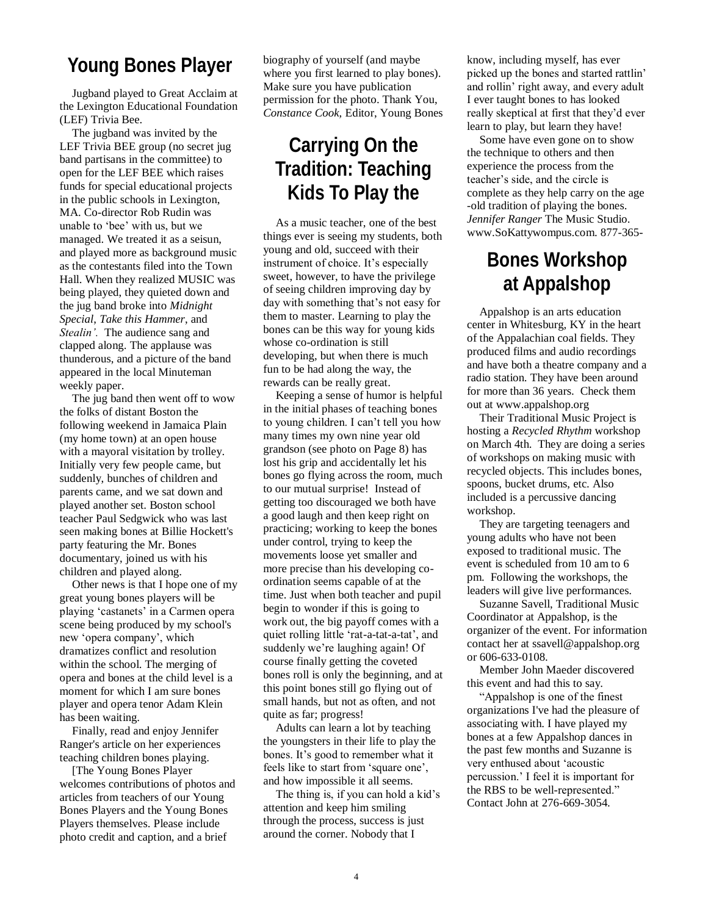#### **Young Bones Player**

Jugband played to Great Acclaim at the Lexington Educational Foundation (LEF) Trivia Bee.

The jugband was invited by the LEF Trivia BEE group (no secret jug band partisans in the committee) to open for the LEF BEE which raises funds for special educational projects in the public schools in Lexington, MA. Co-director Rob Rudin was unable to "bee" with us, but we managed. We treated it as a seisun, and played more as background music as the contestants filed into the Town Hall. When they realized MUSIC was being played, they quieted down and the jug band broke into *Midnight Special*, *Take this Hammer*, and *Stealin'.* The audience sang and clapped along. The applause was thunderous, and a picture of the band appeared in the local Minuteman weekly paper.

The jug band then went off to wow the folks of distant Boston the following weekend in Jamaica Plain (my home town) at an open house with a mayoral visitation by trolley. Initially very few people came, but suddenly, bunches of children and parents came, and we sat down and played another set. Boston school teacher Paul Sedgwick who was last seen making bones at Billie Hockett's party featuring the Mr. Bones documentary, joined us with his children and played along.

Other news is that I hope one of my great young bones players will be playing "castanets" in a Carmen opera scene being produced by my school's new "opera company", which dramatizes conflict and resolution within the school. The merging of opera and bones at the child level is a moment for which I am sure bones player and opera tenor Adam Klein has been waiting.

Finally, read and enjoy Jennifer Ranger's article on her experiences teaching children bones playing.

[The Young Bones Player welcomes contributions of photos and articles from teachers of our Young Bones Players and the Young Bones Players themselves. Please include photo credit and caption, and a brief

biography of yourself (and maybe where you first learned to play bones). Make sure you have publication permission for the photo. Thank You, *Constance Cook,* Editor, Young Bones

## **Carrying On the Tradition: Teaching Kids To Play the**

As a music teacher, one of the best things ever is seeing my students, both young and old, succeed with their instrument of choice. It's especially sweet, however, to have the privilege of seeing children improving day by day with something that"s not easy for them to master. Learning to play the bones can be this way for young kids whose co-ordination is still developing, but when there is much fun to be had along the way, the rewards can be really great.

Keeping a sense of humor is helpful in the initial phases of teaching bones to young children. I can"t tell you how many times my own nine year old grandson (see photo on Page 8) has lost his grip and accidentally let his bones go flying across the room, much to our mutual surprise! Instead of getting too discouraged we both have a good laugh and then keep right on practicing; working to keep the bones under control, trying to keep the movements loose yet smaller and more precise than his developing coordination seems capable of at the time. Just when both teacher and pupil begin to wonder if this is going to work out, the big payoff comes with a quiet rolling little "rat-a-tat-a-tat", and suddenly we"re laughing again! Of course finally getting the coveted bones roll is only the beginning, and at this point bones still go flying out of small hands, but not as often, and not quite as far; progress!

Adults can learn a lot by teaching the youngsters in their life to play the bones. It's good to remember what it feels like to start from "square one", and how impossible it all seems.

The thing is, if you can hold a kid's attention and keep him smiling through the process, success is just around the corner. Nobody that I

know, including myself, has ever picked up the bones and started rattlin" and rollin" right away, and every adult I ever taught bones to has looked really skeptical at first that they"d ever learn to play, but learn they have!

Some have even gone on to show the technique to others and then experience the process from the teacher"s side, and the circle is complete as they help carry on the age -old tradition of playing the bones. *Jennifer Ranger* The Music Studio. www.SoKattywompus.com. 877-365-

## **Bones Workshop at Appalshop**

Appalshop is an arts education center in Whitesburg, KY in the heart of the Appalachian coal fields. They produced films and audio recordings and have both a theatre company and a radio station. They have been around for more than 36 years. Check them out at www.appalshop.org

Their Traditional Music Project is hosting a *Recycled Rhythm* workshop on March 4th. They are doing a series of workshops on making music with recycled objects. This includes bones, spoons, bucket drums, etc. Also included is a percussive dancing workshop.

They are targeting teenagers and young adults who have not been exposed to traditional music. The event is scheduled from 10 am to 6 pm. Following the workshops, the leaders will give live performances.

Suzanne Savell, Traditional Music Coordinator at Appalshop, is the organizer of the event. For information contact her at ssavell@appalshop.org or 606-633-0108.

Member John Maeder discovered this event and had this to say.

"Appalshop is one of the finest organizations I've had the pleasure of associating with. I have played my bones at a few Appalshop dances in the past few months and Suzanne is very enthused about "acoustic percussion." I feel it is important for the RBS to be well-represented." Contact John at 276-669-3054.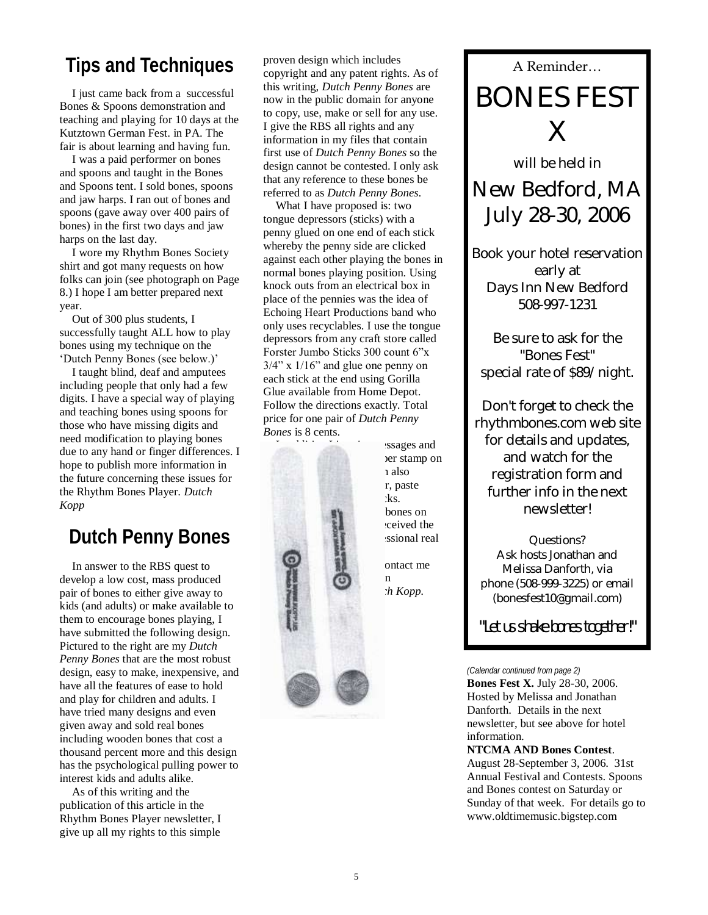# **Tips and Techniques** A proven design which includes<br>  $\frac{1}{2}$  A Reminder...

I just came back from a successful Bones & Spoons demonstration and teaching and playing for 10 days at the Kutztown German Fest. in PA. The fair is about learning and having fun.

I was a paid performer on bones and spoons and taught in the Bones and Spoons tent. I sold bones, spoons and jaw harps. I ran out of bones and spoons (gave away over 400 pairs of bones) in the first two days and jaw harps on the last day.

I wore my Rhythm Bones Society shirt and got many requests on how folks can join (see photograph on Page 8.) I hope I am better prepared next year.

Out of 300 plus students, I successfully taught ALL how to play bones using my technique on the "Dutch Penny Bones (see below.)"

I taught blind, deaf and amputees including people that only had a few digits. I have a special way of playing and teaching bones using spoons for those who have missing digits and need modification to playing bones due to any hand or finger differences. I hope to publish more information in the future concerning these issues for the Rhythm Bones Player. *Dutch Kopp*

## **Dutch Penny Bones**

In answer to the RBS quest to develop a low cost, mass produced pair of bones to either give away to kids (and adults) or make available to them to encourage bones playing, I have submitted the following design. Pictured to the right are my *Dutch Penny Bones* that are the most robust design, easy to make, inexpensive, and have all the features of ease to hold and play for children and adults. I have tried many designs and even given away and sold real bones including wooden bones that cost a thousand percent more and this design has the psychological pulling power to interest kids and adults alike.

As of this writing and the publication of this article in the Rhythm Bones Player newsletter, I give up all my rights to this simple

proven design which includes copyright and any patent rights. As of this writing, *Dutch Penny Bones* are now in the public domain for anyone to copy, use, make or sell for any use. I give the RBS all rights and any information in my files that contain first use of *Dutch Penny Bones* so the design cannot be contested. I only ask that any reference to these bones be referred to as *Dutch Penny Bones*.

What I have proposed is: two tongue depressors (sticks) with a penny glued on one end of each stick whereby the penny side are clicked against each other playing the bones in normal bones playing position. Using knock outs from an electrical box in place of the pennies was the idea of Echoing Heart Productions band who only uses recyclables. I use the tongue depressors from any craft store called Forster Jumbo Sticks 300 count 6"x  $3/4$ " x  $1/16$ " and glue one penny on each stick at the end using Gorilla Glue available from Home Depot. Follow the directions exactly. Total price for one pair of *Dutch Penny Bones* is 8 cents.

bones.

 $\bullet$  my  $\bullet$  m

is sages and ver stamp on n also r, paste  $s$  is the stickers or draw on the sticks. bones on sceived the ssional real

> ontact me  $$

BONES FEST  $\times$ 

will be held in New Bedford, MA July 28-30, 2006

Book your hotel reservation early at Days Inn New Bedford 508-997-1231

Be sure to ask for the "Bones Fest" special rate of \$89/night.

Don't forget to check the rhythmbones.com web site for details and updates, and watch for the registration form and further info in the next newsletter!

Questions? Ask hosts Jonathan and Melissa Danforth, via phone (508-999-3225) or email (bonesfest10@gmail.com)

"Let us shake bones together!"

**Bones Fest X.** July 28-30, 2006. Hosted by Melissa and Jonathan Danforth. Details in the next newsletter, but see above for hotel information. *(Calendar continued from page 2)*

**NTCMA AND Bones Contest**. August 28-September 3, 2006. 31st Annual Festival and Contests. Spoons and Bones contest on Saturday or Sunday of that week. For details go to www.oldtimemusic.bigstep.com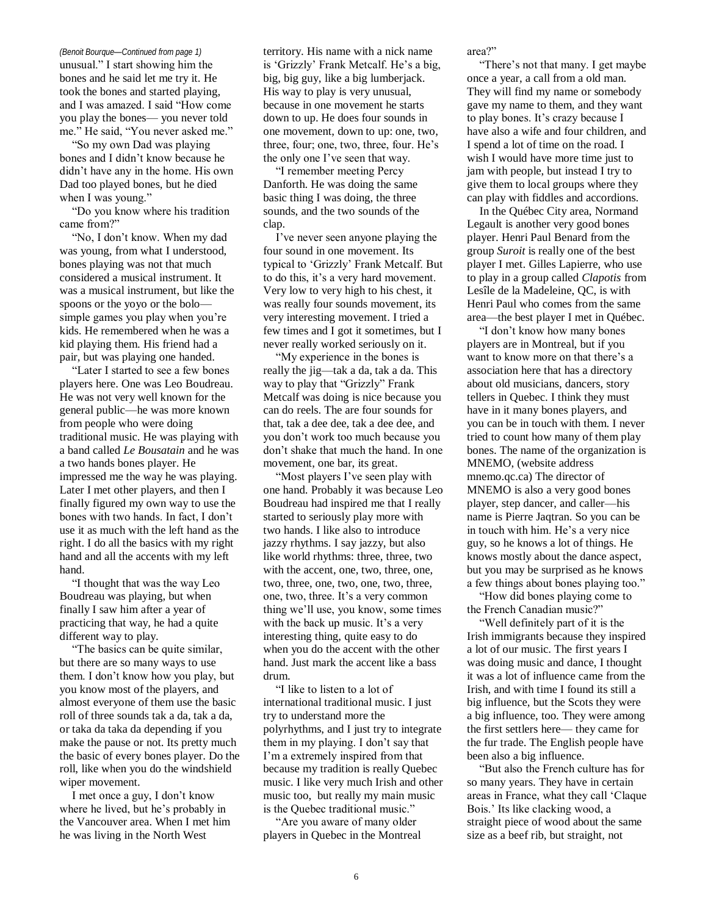unusual." I start showing him the bones and he said let me try it. He took the bones and started playing, and I was amazed. I said "How come you play the bones— you never told me." He said, "You never asked me."

"So my own Dad was playing bones and I didn"t know because he didn"t have any in the home. His own Dad too played bones, but he died when I was young."

"Do you know where his tradition came from?"

"No, I don"t know. When my dad was young, from what I understood, bones playing was not that much considered a musical instrument. It was a musical instrument, but like the spoons or the yoyo or the bolo simple games you play when you're kids. He remembered when he was a kid playing them. His friend had a pair, but was playing one handed.

"Later I started to see a few bones players here. One was Leo Boudreau. He was not very well known for the general public—he was more known from people who were doing traditional music. He was playing with a band called *Le Bousatain* and he was a two hands bones player. He impressed me the way he was playing. Later I met other players, and then I finally figured my own way to use the bones with two hands. In fact, I don"t use it as much with the left hand as the right. I do all the basics with my right hand and all the accents with my left hand.

"I thought that was the way Leo Boudreau was playing, but when finally I saw him after a year of practicing that way, he had a quite different way to play.

"The basics can be quite similar, but there are so many ways to use them. I don"t know how you play, but you know most of the players, and almost everyone of them use the basic roll of three sounds tak a da, tak a da, or taka da taka da depending if you make the pause or not. Its pretty much the basic of every bones player. Do the roll, like when you do the windshield wiper movement.

I met once a guy, I don"t know where he lived, but he"s probably in the Vancouver area. When I met him he was living in the North West

*(Benoit Bourque—Continued from page 1)* territory. His name with a nick name is 'Grizzly' Frank Metcalf. He's a big, big, big guy, like a big lumberjack. His way to play is very unusual, because in one movement he starts down to up. He does four sounds in one movement, down to up: one, two, three, four; one, two, three, four. He's the only one I've seen that way.

> "I remember meeting Percy Danforth. He was doing the same basic thing I was doing, the three sounds, and the two sounds of the clap.

I"ve never seen anyone playing the four sound in one movement. Its typical to "Grizzly" Frank Metcalf. But to do this, it"s a very hard movement. Very low to very high to his chest, it was really four sounds movement, its very interesting movement. I tried a few times and I got it sometimes, but I never really worked seriously on it.

"My experience in the bones is really the jig—tak a da, tak a da. This way to play that "Grizzly" Frank Metcalf was doing is nice because you can do reels. The are four sounds for that, tak a dee dee, tak a dee dee, and you don"t work too much because you don"t shake that much the hand. In one movement, one bar, its great.

"Most players I've seen play with one hand. Probably it was because Leo Boudreau had inspired me that I really started to seriously play more with two hands. I like also to introduce jazzy rhythms. I say jazzy, but also like world rhythms: three, three, two with the accent, one, two, three, one, two, three, one, two, one, two, three, one, two, three. It's a very common thing we"ll use, you know, some times with the back up music. It's a very interesting thing, quite easy to do when you do the accent with the other hand. Just mark the accent like a bass drum.

"I like to listen to a lot of international traditional music. I just try to understand more the polyrhythms, and I just try to integrate them in my playing. I don"t say that I"m a extremely inspired from that because my tradition is really Quebec music. I like very much Irish and other music too, but really my main music is the Quebec traditional music."

"Are you aware of many older players in Quebec in the Montreal area?"

"There"s not that many. I get maybe once a year, a call from a old man. They will find my name or somebody gave my name to them, and they want to play bones. It's crazy because I have also a wife and four children, and I spend a lot of time on the road. I wish I would have more time just to jam with people, but instead I try to give them to local groups where they can play with fiddles and accordions.

In the Québec City area, Normand Legault is another very good bones player. Henri Paul Benard from the group *Suroit* is really one of the best player I met. Gilles Lapierre, who use to play in a group called *Clapotis* from Lesîle de la Madeleine, QC, is with Henri Paul who comes from the same area—the best player I met in Québec.

"I don"t know how many bones players are in Montreal, but if you want to know more on that there's a association here that has a directory about old musicians, dancers, story tellers in Quebec. I think they must have in it many bones players, and you can be in touch with them. I never tried to count how many of them play bones. The name of the organization is MNEMO, (website address mnemo.qc.ca) The director of MNEMO is also a very good bones player, step dancer, and caller—his name is Pierre Jaqtran. So you can be in touch with him. He's a very nice guy, so he knows a lot of things. He knows mostly about the dance aspect, but you may be surprised as he knows a few things about bones playing too."

"How did bones playing come to the French Canadian music?"

"Well definitely part of it is the Irish immigrants because they inspired a lot of our music. The first years I was doing music and dance, I thought it was a lot of influence came from the Irish, and with time I found its still a big influence, but the Scots they were a big influence, too. They were among the first settlers here— they came for the fur trade. The English people have been also a big influence.

"But also the French culture has for so many years. They have in certain areas in France, what they call "Claque Bois." Its like clacking wood, a straight piece of wood about the same size as a beef rib, but straight, not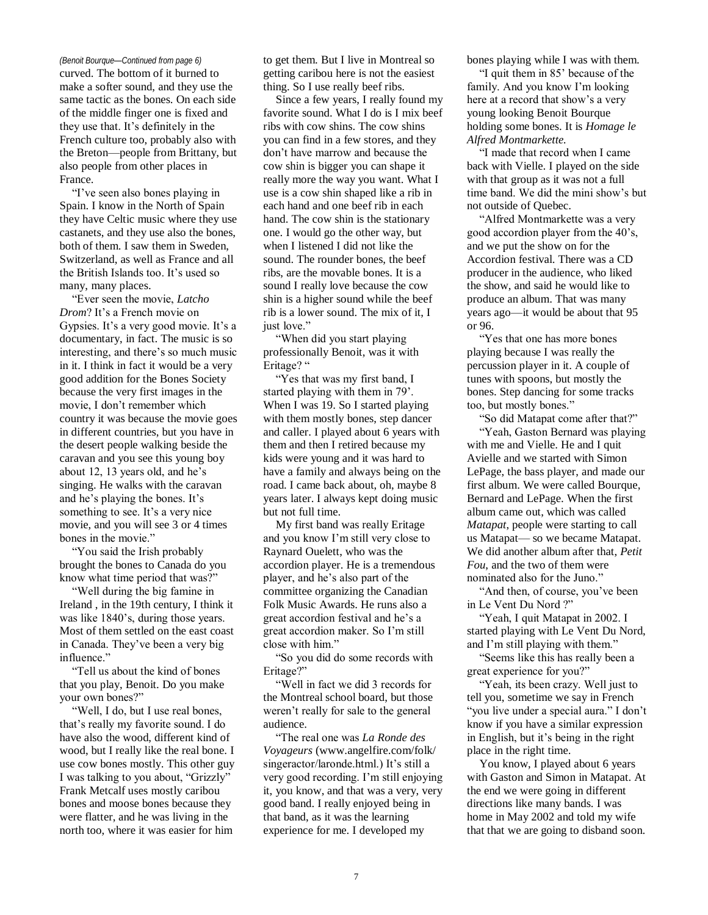curved. The bottom of it burned to make a softer sound, and they use the same tactic as the bones. On each side of the middle finger one is fixed and they use that. It"s definitely in the French culture too, probably also with the Breton—people from Brittany, but also people from other places in France.

"I"ve seen also bones playing in Spain. I know in the North of Spain they have Celtic music where they use castanets, and they use also the bones, both of them. I saw them in Sweden, Switzerland, as well as France and all the British Islands too. It"s used so many, many places.

"Ever seen the movie, *Latcho Drom*? It's a French movie on Gypsies. It's a very good movie. It's a documentary, in fact. The music is so interesting, and there's so much music in it. I think in fact it would be a very good addition for the Bones Society because the very first images in the movie, I don"t remember which country it was because the movie goes in different countries, but you have in the desert people walking beside the caravan and you see this young boy about 12, 13 years old, and he"s singing. He walks with the caravan and he"s playing the bones. It"s something to see. It's a very nice movie, and you will see 3 or 4 times bones in the movie."

"You said the Irish probably brought the bones to Canada do you know what time period that was?"

"Well during the big famine in Ireland , in the 19th century, I think it was like 1840's, during those years. Most of them settled on the east coast in Canada. They"ve been a very big influence."

"Tell us about the kind of bones that you play, Benoit. Do you make your own bones?"

"Well, I do, but I use real bones, that"s really my favorite sound. I do have also the wood, different kind of wood, but I really like the real bone. I use cow bones mostly. This other guy I was talking to you about, "Grizzly" Frank Metcalf uses mostly caribou bones and moose bones because they were flatter, and he was living in the north too, where it was easier for him

*(Benoit Bourque—Continued from page 6)* to get them. But I live in Montreal so getting caribou here is not the easiest thing. So I use really beef ribs.

> Since a few years, I really found my favorite sound. What I do is I mix beef ribs with cow shins. The cow shins you can find in a few stores, and they don"t have marrow and because the cow shin is bigger you can shape it really more the way you want. What I use is a cow shin shaped like a rib in each hand and one beef rib in each hand. The cow shin is the stationary one. I would go the other way, but when I listened I did not like the sound. The rounder bones, the beef ribs, are the movable bones. It is a sound I really love because the cow shin is a higher sound while the beef rib is a lower sound. The mix of it, I just love."

"When did you start playing professionally Benoit, was it with Eritage? "

"Yes that was my first band, I started playing with them in 79". When I was 19. So I started playing with them mostly bones, step dancer and caller. I played about 6 years with them and then I retired because my kids were young and it was hard to have a family and always being on the road. I came back about, oh, maybe 8 years later. I always kept doing music but not full time.

My first band was really Eritage and you know I"m still very close to Raynard Ouelett, who was the accordion player. He is a tremendous player, and he"s also part of the committee organizing the Canadian Folk Music Awards. He runs also a great accordion festival and he"s a great accordion maker. So I"m still close with him."

"So you did do some records with Eritage?"

"Well in fact we did 3 records for the Montreal school board, but those weren"t really for sale to the general audience.

"The real one was *La Ronde des Voyageurs* (www.angelfire.com/folk/ singeractor/laronde.html.) It's still a very good recording. I"m still enjoying it, you know, and that was a very, very good band. I really enjoyed being in that band, as it was the learning experience for me. I developed my

bones playing while I was with them.

"I quit them in 85" because of the family. And you know I"m looking here at a record that show"s a very young looking Benoit Bourque holding some bones. It is *Homage le Alfred Montmarkette.*

"I made that record when I came back with Vielle. I played on the side with that group as it was not a full time band. We did the mini show"s but not outside of Quebec.

"Alfred Montmarkette was a very good accordion player from the 40"s, and we put the show on for the Accordion festival. There was a CD producer in the audience, who liked the show, and said he would like to produce an album. That was many years ago—it would be about that 95 or 96.

"Yes that one has more bones playing because I was really the percussion player in it. A couple of tunes with spoons, but mostly the bones. Step dancing for some tracks too, but mostly bones."

"So did Matapat come after that?"

"Yeah, Gaston Bernard was playing with me and Vielle. He and I quit Avielle and we started with Simon LePage, the bass player, and made our first album. We were called Bourque, Bernard and LePage. When the first album came out, which was called *Matapat*, people were starting to call us Matapat— so we became Matapat. We did another album after that, *Petit Fou*, and the two of them were nominated also for the Juno."

"And then, of course, you've been in Le Vent Du Nord ?"

"Yeah, I quit Matapat in 2002. I started playing with Le Vent Du Nord, and I"m still playing with them."

"Seems like this has really been a great experience for you?"

"Yeah, its been crazy. Well just to tell you, sometime we say in French "you live under a special aura." I don't know if you have a similar expression in English, but it"s being in the right place in the right time.

You know, I played about 6 years with Gaston and Simon in Matapat. At the end we were going in different directions like many bands. I was home in May 2002 and told my wife that that we are going to disband soon.